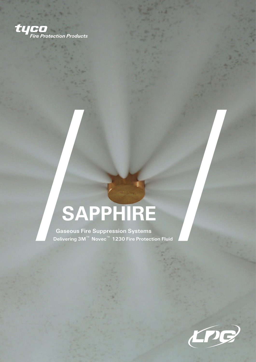

## **SAPPHIRE**

**Gaseous Fire Suppression Systems Delivering 3M**™ **Novec**™ **1230 Fire Protection Fluid**

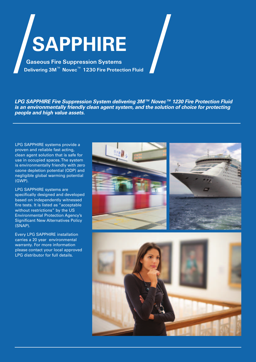# **SAPPHIRE**

**Gaseous Fire Suppression Systems Delivering 3M**™ **Novec**™ **1230 Fire Protection Fluid**

*LPG SAPPHIRE Fire Suppression System delivering 3M™ Novec™ 1230 Fire Protection Fluid is an environmentally friendly clean agent system, and the solution of choice for protecting people and high value assets.*

LPG SAPPHIRE systems provide a proven and reliable fast acting, clean agent solution that is safe for use in occupied spaces. The system is environmentally friendly with zero ozone depletion potential (ODP) and negligible global warming potential (GWP).

LPG SAPPHIRE systems are specifically designed and developed based on independently witnessed fire tests. It is listed as "acceptable without restrictions" by the US Environmental Protection Agency's Significant New Alternatives Policy (SNAP).

Every LPG SAPPHIRE installation carries a 20 year environmental warranty. For more information please contact your local approved LPG distributor for full details.

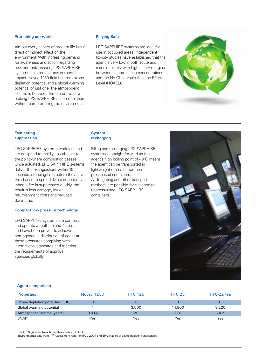#### **Protecting our world**

Almost every aspect of modern life has a direct or indirect effect on the environment. With increasing demand for awareness and action regarding environmental issues, LPG SAPPHIRE systems help reduce environmental impact. Novec 1230 fluid has zero ozone depletion potential and a global warming potential of just one. The atmospheric lifetime is between three and five days making LPG SAPPHIRE an ideal solution without compromising the environment.

#### **Playing Safe**

LPG SAPPHIRE systems are ideal for use in occupied areas. Independent toxicity studies have established that the agent is very low in both acute and chronic toxicity with high safety margins between its normal use concentrations and the No Observable Adverse Effect Level (NOAEL).

#### **Fast acting suppression**

LPG SAPPHIRE systems work fast and are designed to rapidly absorb heat to the point where combustion ceases. Once actuated, LPG SAPPHIRE systems deliver the extinguishant within 10 seconds, stopping fires before they have the chance to spread. Most importantly when a fire is suppressed quickly, the result is less damage, lower refurbishment costs and reduced downtime.

#### **Compact low pressure technology**

LPG SAPPHIRE systems are compact and operate at both 25 and 42 bar, and have been proven to achieve homogeneous distribution of agent at these pressures complying with international standards and meeting the requirements of approval agencies globally.

#### **System recharging**

Filling and recharging LPG SAPPHIRE systems is straight forward as the agent's high boiling point of 49°C means the agent can be transported in lightweight drums rather than pressurised containers. Air freighting and other transport methods are possible for transporting unpressurised LPG SAPPHIRE containers.



#### **Agent comparison**

| <b>Properties</b>               | <b>Novec 1230</b> | <b>HFC 125</b> | <b>HFC 23</b> | HFC-227ea |
|---------------------------------|-------------------|----------------|---------------|-----------|
| Ozone depletion potential (ODP) |                   |                |               |           |
| Global warming potential        |                   | 3.500          | 14,800        | 3.220     |
| Atmospheric lifetime (years)    | 0.014             | 29             | 270           | 24.2      |
| SNAP*                           | Yes               | Yes            | Yes           | Yes       |

\*SNAP - Significant New Alternatives Policy (US EPA)

Environmental data from 4th Assessment report of IPCC 2007 and EPA's tables of ozone depleting substances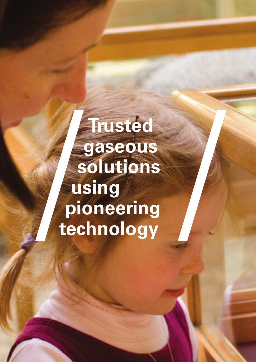## **Trusted gaseous solutions using pioneering technology**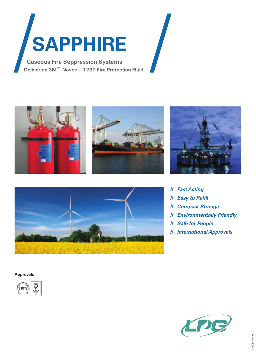

**Delivering 3M**™ **Novec**™ **1230 Fire Protection Fluid**









#### // *Fast Acting*

- // *Easy to Refill*
- // *Compact Storage*
- // *Environmentally Friendly*
- // *Safe for People*
- // *International Approvals*

#### **Approvals**